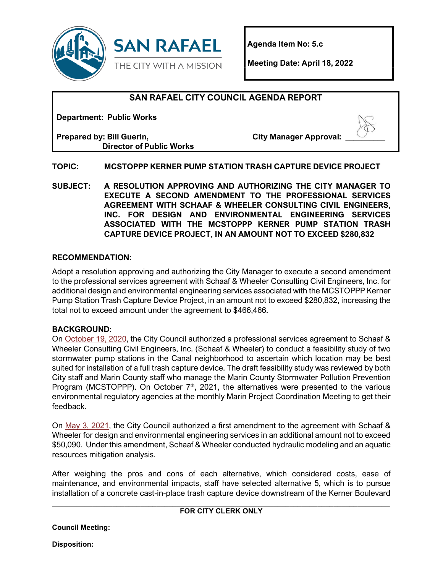

**Agenda Item No: 5.c**

**Meeting Date: April 18, 2022**

# **SAN RAFAEL CITY COUNCIL AGENDA REPORT**

**Department: Public Works**

**Prepared by: Bill Guerin, Director of Public Works**

**City Manager Approval:** 

# **TOPIC: MCSTOPPP KERNER PUMP STATION TRASH CAPTURE DEVICE PROJECT**

**SUBJECT: A RESOLUTION APPROVING AND AUTHORIZING THE CITY MANAGER TO EXECUTE A SECOND AMENDMENT TO THE PROFESSIONAL SERVICES AGREEMENT WITH SCHAAF & WHEELER CONSULTING CIVIL ENGINEERS, INC. FOR DESIGN AND ENVIRONMENTAL ENGINEERING SERVICES ASSOCIATED WITH THE MCSTOPPP KERNER PUMP STATION TRASH CAPTURE DEVICE PROJECT, IN AN AMOUNT NOT TO EXCEED \$280,832**

# **RECOMMENDATION:**

Adopt a resolution approving and authorizing the City Manager to execute a second amendment to the professional services agreement with Schaaf & Wheeler Consulting Civil Engineers, Inc. for additional design and environmental engineering services associated with the MCSTOPPP Kerner Pump Station Trash Capture Device Project, in an amount not to exceed \$280,832, increasing the total not to exceed amount under the agreement to \$466,466.

# **BACKGROUND:**

On [October 19, 2020,](https://www.cityofsanrafael.org/meetings/city-council-october-19-2020) the City Council authorized a professional services agreement to Schaaf & Wheeler Consulting Civil Engineers, Inc. (Schaaf & Wheeler) to conduct a feasibility study of two stormwater pump stations in the Canal neighborhood to ascertain which location may be best suited for installation of a full trash capture device. The draft feasibility study was reviewed by both City staff and Marin County staff who manage the Marin County Stormwater Pollution Prevention Program (MCSTOPPP). On October  $7<sup>th</sup>$ , 2021, the alternatives were presented to the various environmental regulatory agencies at the monthly Marin Project Coordination Meeting to get their feedback.

On [May 3, 2021,](https://www.cityofsanrafael.org/meetings/city-council-may-3-2021/) the City Council authorized a first amendment to the agreement with Schaaf & Wheeler for design and environmental engineering services in an additional amount not to exceed \$50,090. Under this amendment, Schaaf & Wheeler conducted hydraulic modeling and an aquatic resources mitigation analysis.

After weighing the pros and cons of each alternative, which considered costs, ease of maintenance, and environmental impacts, staff have selected alternative 5, which is to pursue installation of a concrete cast-in-place trash capture device downstream of the Kerner Boulevard

#### **\_\_\_\_\_\_\_\_\_\_\_\_\_\_\_\_\_\_\_\_\_\_\_\_\_\_\_\_\_\_\_\_\_\_\_\_\_\_\_\_\_\_\_\_\_\_\_\_\_\_\_\_\_\_\_\_\_\_\_\_\_\_\_\_\_\_\_\_\_\_\_\_\_\_\_\_\_\_\_\_\_\_\_\_ FOR CITY CLERK ONLY**

**Council Meeting:**

**Disposition:**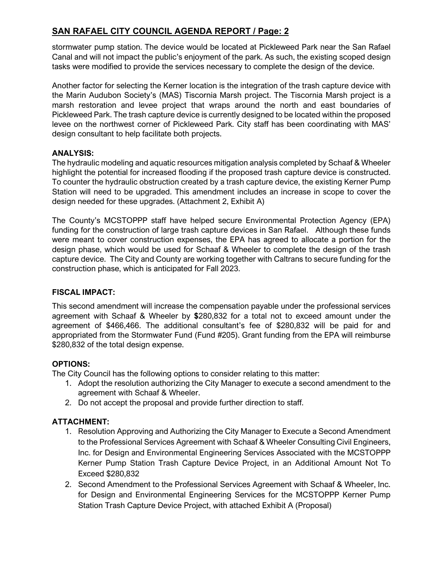# **SAN RAFAEL CITY COUNCIL AGENDA REPORT / Page: 2**

stormwater pump station. The device would be located at Pickleweed Park near the San Rafael Canal and will not impact the public's enjoyment of the park. As such, the existing scoped design tasks were modified to provide the services necessary to complete the design of the device.

Another factor for selecting the Kerner location is the integration of the trash capture device with the Marin Audubon Society's (MAS) Tiscornia Marsh project. The Tiscornia Marsh project is a marsh restoration and levee project that wraps around the north and east boundaries of Pickleweed Park. The trash capture device is currently designed to be located within the proposed levee on the northwest corner of Pickleweed Park. City staff has been coordinating with MAS' design consultant to help facilitate both projects.

# **ANALYSIS:**

The hydraulic modeling and aquatic resources mitigation analysis completed by Schaaf & Wheeler highlight the potential for increased flooding if the proposed trash capture device is constructed. To counter the hydraulic obstruction created by a trash capture device, the existing Kerner Pump Station will need to be upgraded. This amendment includes an increase in scope to cover the design needed for these upgrades. (Attachment 2, Exhibit A)

The County's MCSTOPPP staff have helped secure Environmental Protection Agency (EPA) funding for the construction of large trash capture devices in San Rafael. Although these funds were meant to cover construction expenses, the EPA has agreed to allocate a portion for the design phase, which would be used for Schaaf & Wheeler to complete the design of the trash capture device. The City and County are working together with Caltrans to secure funding for the construction phase, which is anticipated for Fall 2023.

# **FISCAL IMPACT:**

This second amendment will increase the compensation payable under the professional services agreement with Schaaf & Wheeler by **\$**280,832 for a total not to exceed amount under the agreement of \$466,466. The additional consultant's fee of \$280,832 will be paid for and appropriated from the Stormwater Fund (Fund #205). Grant funding from the EPA will reimburse \$280,832 of the total design expense.

# **OPTIONS:**

The City Council has the following options to consider relating to this matter:

- 1. Adopt the resolution authorizing the City Manager to execute a second amendment to the agreement with Schaaf & Wheeler.
- 2. Do not accept the proposal and provide further direction to staff.

# **ATTACHMENT:**

- 1. Resolution Approving and Authorizing the City Manager to Execute a Second Amendment to the Professional Services Agreement with Schaaf & Wheeler Consulting Civil Engineers, Inc. for Design and Environmental Engineering Services Associated with the MCSTOPPP Kerner Pump Station Trash Capture Device Project, in an Additional Amount Not To Exceed \$280,832
- 2. Second Amendment to the Professional Services Agreement with Schaaf & Wheeler, Inc. for Design and Environmental Engineering Services for the MCSTOPPP Kerner Pump Station Trash Capture Device Project, with attached Exhibit A (Proposal)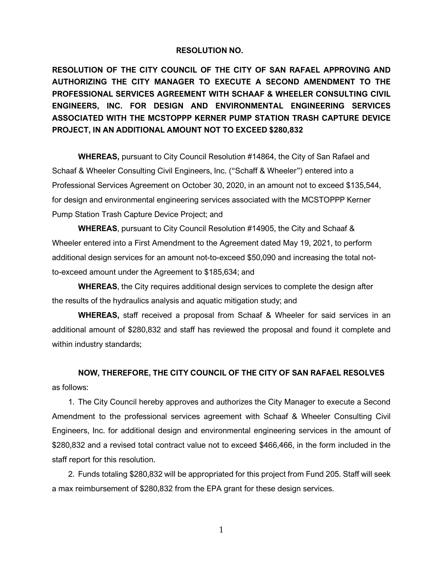#### **RESOLUTION NO.**

**RESOLUTION OF THE CITY COUNCIL OF THE CITY OF SAN RAFAEL APPROVING AND AUTHORIZING THE CITY MANAGER TO EXECUTE A SECOND AMENDMENT TO THE PROFESSIONAL SERVICES AGREEMENT WITH SCHAAF & WHEELER CONSULTING CIVIL ENGINEERS, INC. FOR DESIGN AND ENVIRONMENTAL ENGINEERING SERVICES ASSOCIATED WITH THE MCSTOPPP KERNER PUMP STATION TRASH CAPTURE DEVICE PROJECT, IN AN ADDITIONAL AMOUNT NOT TO EXCEED \$280,832**

**WHEREAS,** pursuant to City Council Resolution #14864, the City of San Rafael and Schaaf & Wheeler Consulting Civil Engineers, Inc. ("Schaff & Wheeler") entered into a Professional Services Agreement on October 30, 2020, in an amount not to exceed \$135,544, for design and environmental engineering services associated with the MCSTOPPP Kerner Pump Station Trash Capture Device Project; and

**WHEREAS**, pursuant to City Council Resolution #14905, the City and Schaaf & Wheeler entered into a First Amendment to the Agreement dated May 19, 2021, to perform additional design services for an amount not-to-exceed \$50,090 and increasing the total notto-exceed amount under the Agreement to \$185,634; and

**WHEREAS**, the City requires additional design services to complete the design after the results of the hydraulics analysis and aquatic mitigation study; and

**WHEREAS,** staff received a proposal from Schaaf & Wheeler for said services in an additional amount of \$280,832 and staff has reviewed the proposal and found it complete and within industry standards;

**NOW, THEREFORE, THE CITY COUNCIL OF THE CITY OF SAN RAFAEL RESOLVES**  as follows:

1. The City Council hereby approves and authorizes the City Manager to execute a Second Amendment to the professional services agreement with Schaaf & Wheeler Consulting Civil Engineers, Inc. for additional design and environmental engineering services in the amount of \$280,832 and a revised total contract value not to exceed \$466,466, in the form included in the staff report for this resolution.

2. Funds totaling \$280,832 will be appropriated for this project from Fund 205. Staff will seek a max reimbursement of \$280,832 from the EPA grant for these design services.

1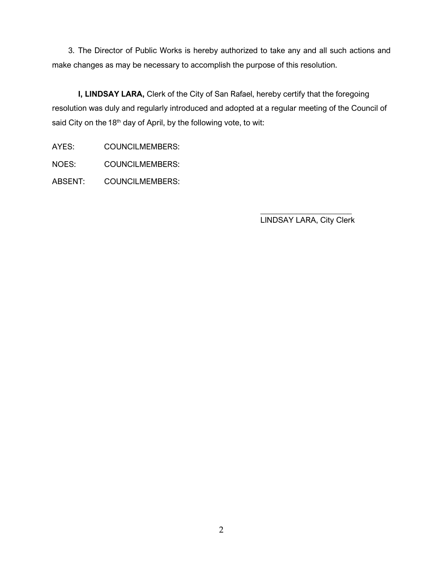3. The Director of Public Works is hereby authorized to take any and all such actions and make changes as may be necessary to accomplish the purpose of this resolution.

**I, LINDSAY LARA,** Clerk of the City of San Rafael, hereby certify that the foregoing resolution was duly and regularly introduced and adopted at a regular meeting of the Council of said City on the 18<sup>th</sup> day of April, by the following vote, to wit:

AYES: COUNCILMEMBERS:

NOES: COUNCILMEMBERS:

ABSENT: COUNCILMEMBERS:

\_\_\_\_\_\_\_\_\_\_\_\_\_\_\_\_\_\_\_\_\_\_\_ LINDSAY LARA, City Clerk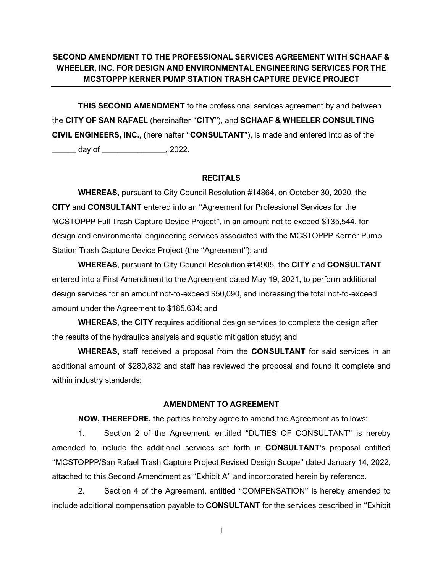# **SECOND AMENDMENT TO THE PROFESSIONAL SERVICES AGREEMENT WITH SCHAAF & WHEELER, INC. FOR DESIGN AND ENVIRONMENTAL ENGINEERING SERVICES FOR THE MCSTOPPP KERNER PUMP STATION TRASH CAPTURE DEVICE PROJECT**

**THIS SECOND AMENDMENT** to the professional services agreement by and between the **CITY OF SAN RAFAEL** (hereinafter "**CITY**"), and **SCHAAF & WHEELER CONSULTING CIVIL ENGINEERS, INC.**, (hereinafter "**CONSULTANT**"), is made and entered into as of the \_\_\_\_\_\_ day of \_\_\_\_\_\_\_\_\_\_\_\_\_\_\_\_, 2022.

#### **RECITALS**

**WHEREAS,** pursuant to City Council Resolution #14864, on October 30, 2020, the **CITY** and **CONSULTANT** entered into an "Agreement for Professional Services for the MCSTOPPP Full Trash Capture Device Project", in an amount not to exceed \$135,544, for design and environmental engineering services associated with the MCSTOPPP Kerner Pump Station Trash Capture Device Project (the "Agreement"); and

**WHEREAS**, pursuant to City Council Resolution #14905, the **CITY** and **CONSULTANT**  entered into a First Amendment to the Agreement dated May 19, 2021, to perform additional design services for an amount not-to-exceed \$50,090, and increasing the total not-to-exceed amount under the Agreement to \$185,634; and

**WHEREAS**, the **CITY** requires additional design services to complete the design after the results of the hydraulics analysis and aquatic mitigation study; and

**WHEREAS,** staff received a proposal from the **CONSULTANT** for said services in an additional amount of \$280,832 and staff has reviewed the proposal and found it complete and within industry standards;

#### **AMENDMENT TO AGREEMENT**

**NOW, THEREFORE,** the parties hereby agree to amend the Agreement as follows:

1. Section 2 of the Agreement, entitled "DUTIES OF CONSULTANT" is hereby amended to include the additional services set forth in **CONSULTANT**'s proposal entitled "MCSTOPPP/San Rafael Trash Capture Project Revised Design Scope" dated January 14, 2022, attached to this Second Amendment as "Exhibit A" and incorporated herein by reference.

2. Section 4 of the Agreement, entitled "COMPENSATION" is hereby amended to include additional compensation payable to **CONSULTANT** for the services described in "Exhibit

1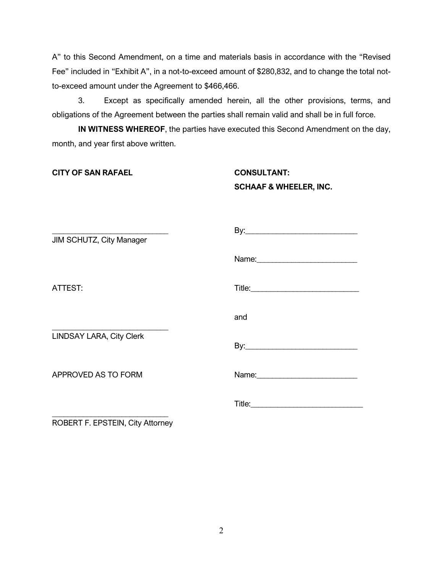A" to this Second Amendment, on a time and materials basis in accordance with the "Revised Fee" included in "Exhibit A", in a not-to-exceed amount of \$280,832, and to change the total notto-exceed amount under the Agreement to \$466,466.

3. Except as specifically amended herein, all the other provisions, terms, and obligations of the Agreement between the parties shall remain valid and shall be in full force.

**IN WITNESS WHEREOF**, the parties have executed this Second Amendment on the day, month, and year first above written.

**CITY OF SAN RAFAEL CONSULTANT:**

# **SCHAAF & WHEELER, INC.**

| JIM SCHUTZ, City Manager        |     |  |  |  |  |  |  |
|---------------------------------|-----|--|--|--|--|--|--|
|                                 |     |  |  |  |  |  |  |
| ATTEST:                         |     |  |  |  |  |  |  |
|                                 | and |  |  |  |  |  |  |
| <b>LINDSAY LARA, City Clerk</b> |     |  |  |  |  |  |  |
| APPROVED AS TO FORM             |     |  |  |  |  |  |  |
|                                 |     |  |  |  |  |  |  |

ROBERT F. EPSTEIN, City Attorney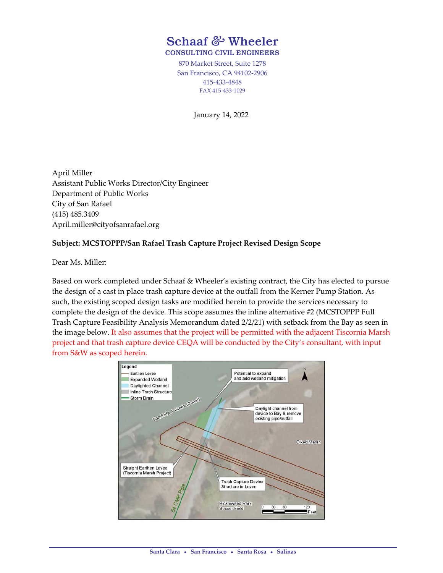# Schaaf *&* Wheeler CONSULTING CIVIL ENGINEERS

870 Market Street, Suite 1278 San Francisco, CA 94102‐2906 415‐433‐4848 FAX 415‐433‐1029

January 14, 2022

April Miller Assistant Public Works Director/City Engineer Department of Public Works City of San Rafael (415) 485.3409 April.miller@cityofsanrafael.org

# **Subject: MCSTOPPP/San Rafael Trash Capture Project Revised Design Scope**

Dear Ms. Miller:

Based on work completed under Schaaf & Wheeler's existing contract, the City has elected to pursue the design of a cast in place trash capture device at the outfall from the Kerner Pump Station. As such, the existing scoped design tasks are modified herein to provide the services necessary to complete the design of the device. This scope assumes the inline alternative #2 (MCSTOPPP Full Trash Capture Feasibility Analysis Memorandum dated 2/2/21) with setback from the Bay as seen in the image below. It also assumes that the project will be permitted with the adjacent Tiscornia Marsh project and that trash capture device CEQA will be conducted by the City's consultant, with input from S&W as scoped herein.

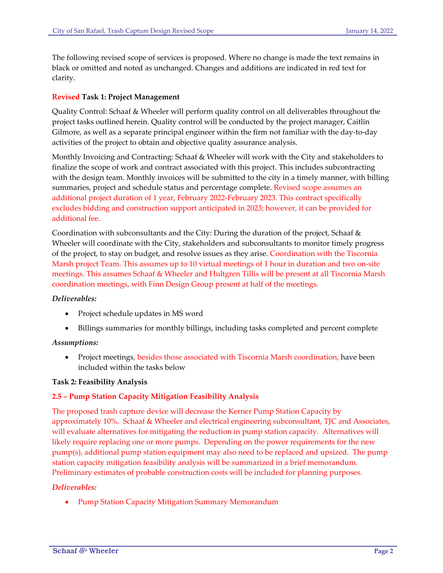The following revised scope of services is proposed. Where no change is made the text remains in black or omitted and noted as unchanged. Changes and additions are indicated in red text for clarity.

## **Revised Task 1: Project Management**

Quality Control: Schaaf & Wheeler will perform quality control on all deliverables throughout the project tasks outlined herein. Quality control will be conducted by the project manager, Caitlin Gilmore, as well as a separate principal engineer within the firm not familiar with the day‐to‐day activities of the project to obtain and objective quality assurance analysis.

Monthly Invoicing and Contracting: Schaaf & Wheeler will work with the City and stakeholders to finalize the scope of work and contract associated with this project. This includes subcontracting with the design team. Monthly invoices will be submitted to the city in a timely manner, with billing summaries, project and schedule status and percentage complete. Revised scope assumes an additional project duration of 1 year, February 2022‐February 2023. This contract specifically excludes bidding and construction support anticipated in 2023; however, it can be provided for additional fee.

Coordination with subconsultants and the City: During the duration of the project, Schaaf & Wheeler will coordinate with the City, stakeholders and subconsultants to monitor timely progress of the project, to stay on budget, and resolve issues as they arise. Coordination with the Tiscornia Marsh project Team. This assumes up to 10 virtual meetings of 1 hour in duration and two on‐site meetings. This assumes Schaaf & Wheeler and Hultgren Tillis will be present at all Tiscornia Marsh coordination meetings, with Finn Design Group present at half of the meetings.

#### *Deliverables:*

- Project schedule updates in MS word
- Billings summaries for monthly billings, including tasks completed and percent complete

#### *Assumptions:*

• Project meetings, besides those associated with Tiscornia Marsh coordination, have been included within the tasks below

#### **Task 2: Feasibility Analysis**

# **2.5 – Pump Station Capacity Mitigation Feasibility Analysis**

The proposed trash capture device will decrease the Kerner Pump Station Capacity by approximately 10%. Schaaf & Wheeler and electrical engineering subconsultant, TJC and Associates, will evaluate alternatives for mitigating the reduction in pump station capacity. Alternatives will likely require replacing one or more pumps. Depending on the power requirements for the new pump(s), additional pump station equipment may also need to be replaced and upsized. The pump station capacity mitigation feasibility analysis will be summarized in a brief memorandum. Preliminary estimates of probable construction costs will be included for planning purposes.

#### *Deliverables:*

Pump Station Capacity Mitigation Summary Memorandum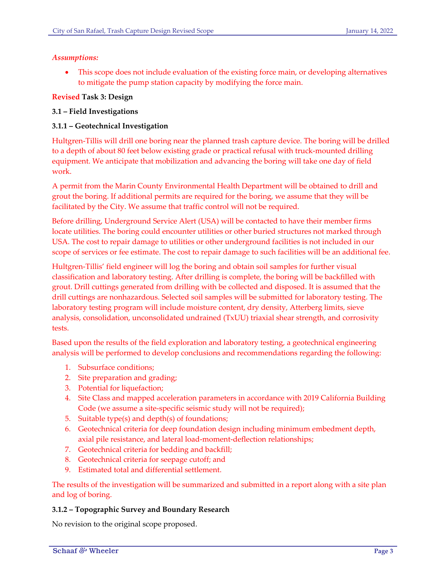## *Assumptions:*

 This scope does not include evaluation of the existing force main, or developing alternatives to mitigate the pump station capacity by modifying the force main.

# **Revised Task 3: Design**

# **3.1 – Field Investigations**

# **3.1.1 – Geotechnical Investigation**

Hultgren‐Tillis will drill one boring near the planned trash capture device. The boring will be drilled to a depth of about 80 feet below existing grade or practical refusal with truck-mounted drilling equipment. We anticipate that mobilization and advancing the boring will take one day of field work.

A permit from the Marin County Environmental Health Department will be obtained to drill and grout the boring. If additional permits are required for the boring, we assume that they will be facilitated by the City. We assume that traffic control will not be required.

Before drilling, Underground Service Alert (USA) will be contacted to have their member firms locate utilities. The boring could encounter utilities or other buried structures not marked through USA. The cost to repair damage to utilities or other underground facilities is not included in our scope of services or fee estimate. The cost to repair damage to such facilities will be an additional fee.

Hultgren‐Tillis' field engineer will log the boring and obtain soil samples for further visual classification and laboratory testing. After drilling is complete, the boring will be backfilled with grout. Drill cuttings generated from drilling with be collected and disposed. It is assumed that the drill cuttings are nonhazardous. Selected soil samples will be submitted for laboratory testing. The laboratory testing program will include moisture content, dry density, Atterberg limits, sieve analysis, consolidation, unconsolidated undrained (TxUU) triaxial shear strength, and corrosivity tests.

Based upon the results of the field exploration and laboratory testing, a geotechnical engineering analysis will be performed to develop conclusions and recommendations regarding the following:

- 1. Subsurface conditions;
- 2. Site preparation and grading;
- 3. Potential for liquefaction;
- 4. Site Class and mapped acceleration parameters in accordance with 2019 California Building Code (we assume a site-specific seismic study will not be required);
- 5. Suitable type(s) and depth(s) of foundations;
- 6. Geotechnical criteria for deep foundation design including minimum embedment depth, axial pile resistance, and lateral load‐moment‐deflection relationships;
- 7. Geotechnical criteria for bedding and backfill;
- 8. Geotechnical criteria for seepage cutoff; and
- 9. Estimated total and differential settlement.

The results of the investigation will be summarized and submitted in a report along with a site plan and log of boring.

# **3.1.2 – Topographic Survey and Boundary Research**

No revision to the original scope proposed.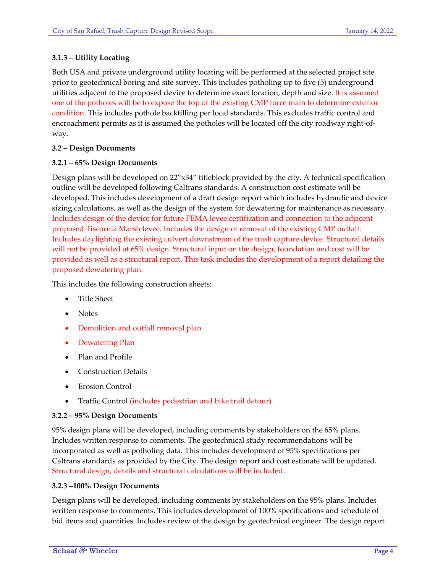# **3.1.3 – Utility Locating**

Both USA and private underground utility locating will be performed at the selected project site prior to geotechnical boring and site survey. This includes potholing up to five (5) underground utilities adjacent to the proposed device to determine exact location, depth and size. It is assumed one of the potholes will be to expose the top of the existing CMP force main to determine exterior condition. This includes pothole backfilling per local standards. This excludes traffic control and encroachment permits as it is assumed the potholes will be located off the city roadway right‐of‐ way.

# **3.2 – Design Documents**

## **3.2.1 – 65% Design Documents**

Design plans will be developed on 22"x34" titleblock provided by the city. A technical specification outline will be developed following Caltrans standards. A construction cost estimate will be developed. This includes development of a draft design report which includes hydraulic and device sizing calculations, as well as the design of the system for dewatering for maintenance as necessary. Includes design of the device for future FEMA levee certification and connection to the adjacent proposed Tiscornia Marsh levee. Includes the design of removal of the existing CMP outfall. Includes daylighting the existing culvert downstream of the trash capture device. Structural details will not be provided at 65% design. Structural input on the design, foundation and cost will be provided as well as a structural report. This task includes the development of a report detailing the proposed dewatering plan.

This includes the following construction sheets:

- Title Sheet
- Notes
- Demolition and outfall removal plan
- Dewatering Plan
- Plan and Profile
- Construction Details
- Erosion Control
- Traffic Control (includes pedestrian and bike trail detour)

#### **3.2.2 – 95% Design Documents**

95% design plans will be developed, including comments by stakeholders on the 65% plans. Includes written response to comments. The geotechnical study recommendations will be incorporated as well as potholing data. This includes development of 95% specifications per Caltrans standards as provided by the City. The design report and cost estimate will be updated. Structural design, details and structural calculations will be included.

# **3.2.3 –100% Design Documents**

Design plans will be developed, including comments by stakeholders on the 95% plans. Includes written response to comments. This includes development of 100% specifications and schedule of bid items and quantities. Includes review of the design by geotechnical engineer. The design report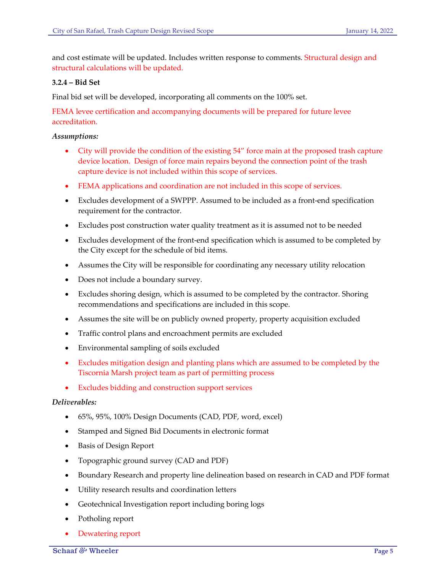and cost estimate will be updated. Includes written response to comments. Structural design and structural calculations will be updated.

# **3.2.4 – Bid Set**

Final bid set will be developed, incorporating all comments on the 100% set.

FEMA levee certification and accompanying documents will be prepared for future levee accreditation.

## *Assumptions:*

- City will provide the condition of the existing 54" force main at the proposed trash capture device location. Design of force main repairs beyond the connection point of the trash capture device is not included within this scope of services.
- FEMA applications and coordination are not included in this scope of services.
- Excludes development of a SWPPP. Assumed to be included as a front-end specification requirement for the contractor.
- Excludes post construction water quality treatment as it is assumed not to be needed
- Excludes development of the front-end specification which is assumed to be completed by the City except for the schedule of bid items.
- Assumes the City will be responsible for coordinating any necessary utility relocation
- Does not include a boundary survey.
- Excludes shoring design, which is assumed to be completed by the contractor. Shoring recommendations and specifications are included in this scope.
- Assumes the site will be on publicly owned property, property acquisition excluded
- Traffic control plans and encroachment permits are excluded
- Environmental sampling of soils excluded
- Excludes mitigation design and planting plans which are assumed to be completed by the Tiscornia Marsh project team as part of permitting process
- Excludes bidding and construction support services

## *Deliverables:*

- 65%, 95%, 100% Design Documents (CAD, PDF, word, excel)
- Stamped and Signed Bid Documents in electronic format
- Basis of Design Report
- Topographic ground survey (CAD and PDF)
- Boundary Research and property line delineation based on research in CAD and PDF format
- Utility research results and coordination letters
- Geotechnical Investigation report including boring logs
- Potholing report
- Dewatering report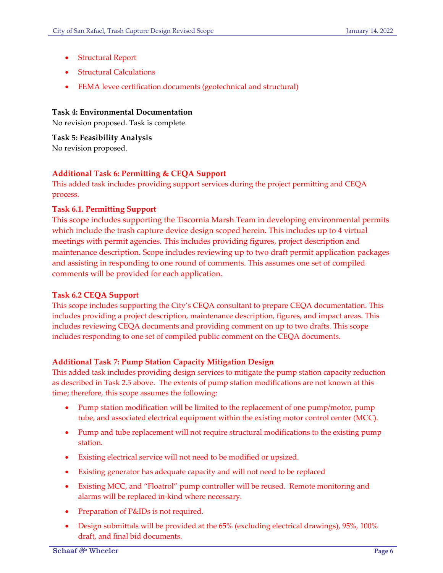- Structural Report
- Structural Calculations
- FEMA levee certification documents (geotechnical and structural)

## **Task 4: Environmental Documentation**

No revision proposed. Task is complete.

**Task 5: Feasibility Analysis** No revision proposed.

# **Additional Task 6: Permitting & CEQA Support**

This added task includes providing support services during the project permitting and CEQA process.

## **Task 6.1. Permitting Support**

This scope includes supporting the Tiscornia Marsh Team in developing environmental permits which include the trash capture device design scoped herein. This includes up to 4 virtual meetings with permit agencies. This includes providing figures, project description and maintenance description. Scope includes reviewing up to two draft permit application packages and assisting in responding to one round of comments. This assumes one set of compiled comments will be provided for each application.

#### **Task 6.2 CEQA Support**

This scope includes supporting the City's CEQA consultant to prepare CEQA documentation. This includes providing a project description, maintenance description, figures, and impact areas. This includes reviewing CEQA documents and providing comment on up to two drafts. This scope includes responding to one set of compiled public comment on the CEQA documents.

# **Additional Task 7: Pump Station Capacity Mitigation Design**

This added task includes providing design services to mitigate the pump station capacity reduction as described in Task 2.5 above. The extents of pump station modifications are not known at this time; therefore, this scope assumes the following:

- Pump station modification will be limited to the replacement of one pump/motor, pump tube, and associated electrical equipment within the existing motor control center (MCC).
- Pump and tube replacement will not require structural modifications to the existing pump station.
- Existing electrical service will not need to be modified or upsized.
- Existing generator has adequate capacity and will not need to be replaced
- Existing MCC, and "Floatrol" pump controller will be reused. Remote monitoring and alarms will be replaced in‐kind where necessary.
- Preparation of P&IDs is not required.
- Design submittals will be provided at the 65% (excluding electrical drawings), 95%, 100% draft, and final bid documents.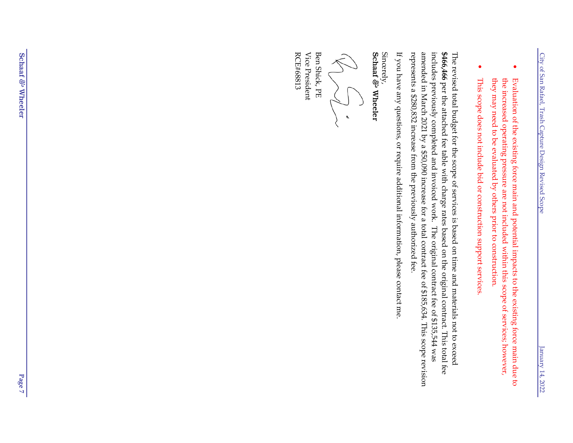- $\bullet$ Evaluation of the<br> existing force main and potential impacts to the existing force main due to the<br> increased operating pressure are not included within this scope of services; however, they may need to be evaluated  $\breve{\mathbf{s}}$ others prior to construction.
- This scope does not include bid or construction support services.

 $\bullet$ 

The revised total budget for the scope of services is based on time and materials not  $\sigma$ exceed **\$466,466** per the attached fee table with charge rates based on the original contract. This total fee includes previously completed and invoiced work. The original contract fee of \$135,544 was amended in March 2021 by a \$50,090 increase for a total contract fee of \$185,634. This scope revision represents a \$280,832 increase from the previously authorized fee.

 $\Xi$ you have any questions, or require additional information, please contact me.

Sincerely,

Schaaf & Wheeler *&* Wheeler

 $\sum_{i=1}^{n}$ 

Ben Shick, PE Vice President RCE#68813